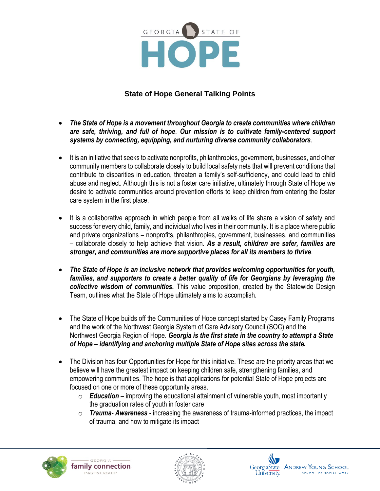

## **State of Hope General Talking Points**

- *The State of Hope is a movement throughout Georgia to create communities where children are safe, thriving, and full of hope*. *Our mission is to cultivate family-centered support systems by connecting, equipping, and nurturing diverse community collaborators*.
- It is an initiative that seeks to activate nonprofits, philanthropies, government, businesses, and other community members to collaborate closely to build local safety nets that will prevent conditions that contribute to disparities in education, threaten a family's self-sufficiency, and could lead to child abuse and neglect. Although this is not a foster care initiative, ultimately through State of Hope we desire to activate communities around prevention efforts to keep children from entering the foster care system in the first place.
- It is a collaborative approach in which people from all walks of life share a vision of safety and success for every child, family, and individual who lives in their community. It is a place where public and private organizations – nonprofits, philanthropies, government, businesses, and communities – collaborate closely to help achieve that vision. *As a result, children are safer, families are stronger, and communities are more supportive places for all its members to thrive.*
- *The State of Hope is an inclusive network that provides welcoming opportunities for youth, families, and supporters to create a better quality of life for Georgians by leveraging the collective wisdom of communities.* This value proposition, created by the Statewide Design Team, outlines what the State of Hope ultimately aims to accomplish.
- The State of Hope builds off the Communities of Hope concept started by Casey Family Programs and the work of the Northwest Georgia System of Care Advisory Council (SOC) and the Northwest Georgia Region of Hope. *Georgia is the first state in the country to attempt a State of Hope – identifying and anchoring multiple State of Hope sites across the state.*
- The Division has four Opportunities for Hope for this initiative. These are the priority areas that we believe will have the greatest impact on keeping children safe, strengthening families, and empowering communities. The hope is that applications for potential State of Hope projects are focused on one or more of these opportunity areas.
	- o *Education* improving the educational attainment of vulnerable youth, most importantly the graduation rates of youth in foster care
	- o *Trauma- Awareness -* increasing the awareness of trauma-informed practices, the impact of trauma, and how to mitigate its impact